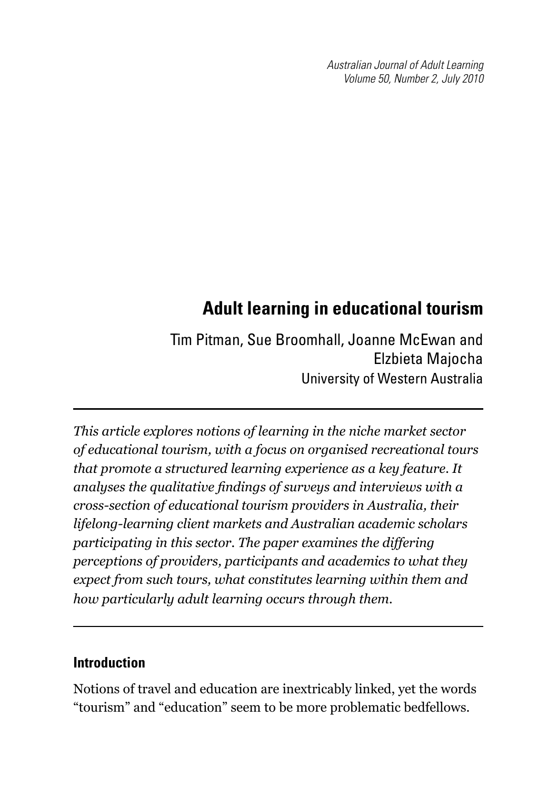*Australian Journal of Adult Learning Volume 50, Number 2, July 2010*

# **Adult learning in educational tourism**

Tim Pitman, Sue Broomhall, Joanne McEwan and Elzbieta Majocha University of Western Australia

*This article explores notions of learning in the niche market sector of educational tourism, with a focus on organised recreational tours that promote a structured learning experience as a key feature. It analyses the qualitative findings of surveys and interviews with a cross-section of educational tourism providers in Australia, their lifelong-learning client markets and Australian academic scholars participating in this sector. The paper examines the differing perceptions of providers, participants and academics to what they expect from such tours, what constitutes learning within them and how particularly adult learning occurs through them.*

## **Introduction**

Notions of travel and education are inextricably linked, yet the words "tourism" and "education" seem to be more problematic bedfellows.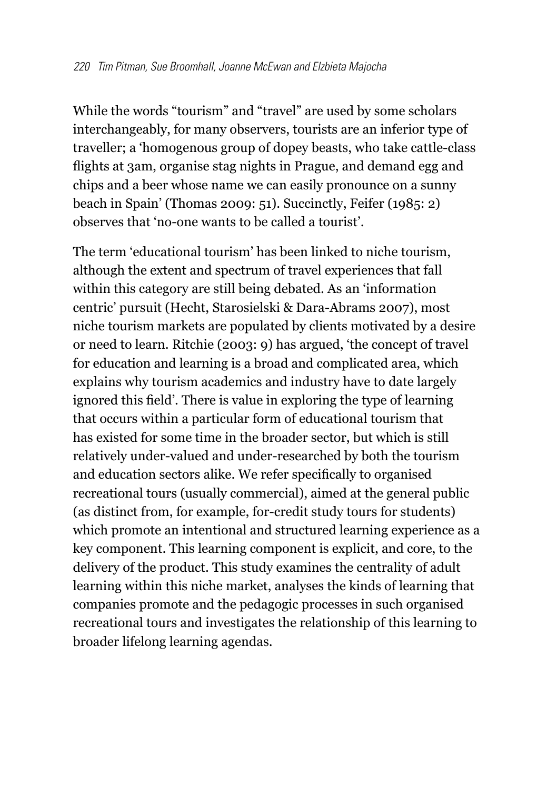While the words "tourism" and "travel" are used by some scholars interchangeably, for many observers, tourists are an inferior type of traveller; a 'homogenous group of dopey beasts, who take cattle-class flights at 3am, organise stag nights in Prague, and demand egg and chips and a beer whose name we can easily pronounce on a sunny beach in Spain' (Thomas 2009: 51). Succinctly, Feifer (1985: 2) observes that 'no-one wants to be called a tourist'.

The term 'educational tourism' has been linked to niche tourism, although the extent and spectrum of travel experiences that fall within this category are still being debated. As an 'information centric' pursuit (Hecht, Starosielski & Dara-Abrams 2007), most niche tourism markets are populated by clients motivated by a desire or need to learn. Ritchie (2003: 9) has argued, 'the concept of travel for education and learning is a broad and complicated area, which explains why tourism academics and industry have to date largely ignored this field'. There is value in exploring the type of learning that occurs within a particular form of educational tourism that has existed for some time in the broader sector, but which is still relatively under-valued and under-researched by both the tourism and education sectors alike. We refer specifically to organised recreational tours (usually commercial), aimed at the general public (as distinct from, for example, for-credit study tours for students) which promote an intentional and structured learning experience as a key component. This learning component is explicit, and core, to the delivery of the product. This study examines the centrality of adult learning within this niche market, analyses the kinds of learning that companies promote and the pedagogic processes in such organised recreational tours and investigates the relationship of this learning to broader lifelong learning agendas.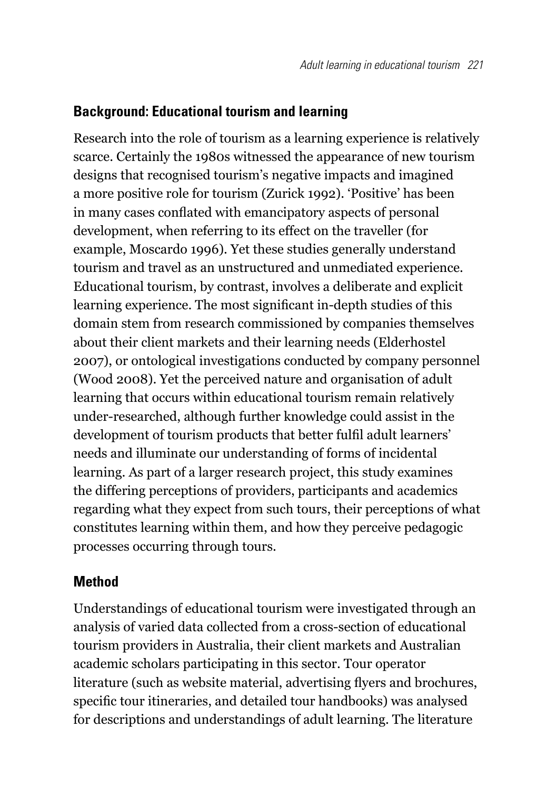### **Background: Educational tourism and learning**

Research into the role of tourism as a learning experience is relatively scarce. Certainly the 1980s witnessed the appearance of new tourism designs that recognised tourism's negative impacts and imagined a more positive role for tourism (Zurick 1992). 'Positive' has been in many cases conflated with emancipatory aspects of personal development, when referring to its effect on the traveller (for example, Moscardo 1996). Yet these studies generally understand tourism and travel as an unstructured and unmediated experience. Educational tourism, by contrast, involves a deliberate and explicit learning experience. The most significant in-depth studies of this domain stem from research commissioned by companies themselves about their client markets and their learning needs (Elderhostel 2007), or ontological investigations conducted by company personnel (Wood 2008). Yet the perceived nature and organisation of adult learning that occurs within educational tourism remain relatively under-researched, although further knowledge could assist in the development of tourism products that better fulfil adult learners' needs and illuminate our understanding of forms of incidental learning. As part of a larger research project, this study examines the differing perceptions of providers, participants and academics regarding what they expect from such tours, their perceptions of what constitutes learning within them, and how they perceive pedagogic processes occurring through tours.

#### **Method**

Understandings of educational tourism were investigated through an analysis of varied data collected from a cross-section of educational tourism providers in Australia, their client markets and Australian academic scholars participating in this sector. Tour operator literature (such as website material, advertising flyers and brochures, specific tour itineraries, and detailed tour handbooks) was analysed for descriptions and understandings of adult learning. The literature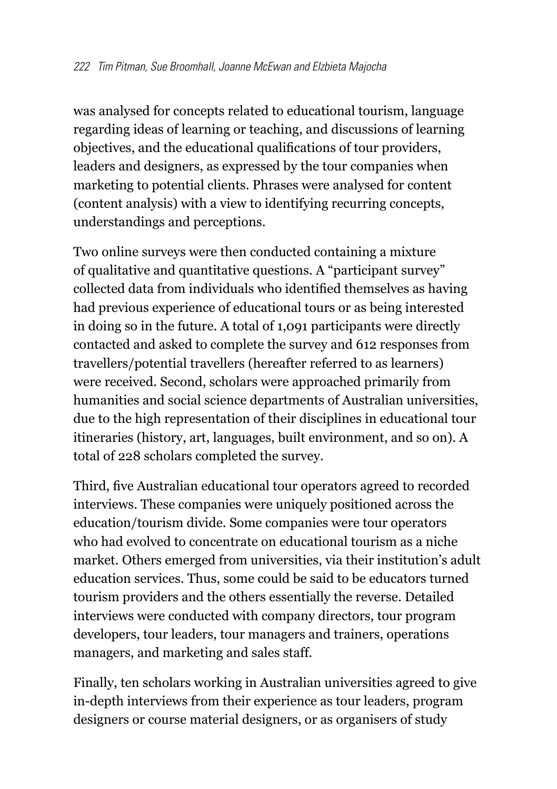was analysed for concepts related to educational tourism, language regarding ideas of learning or teaching, and discussions of learning objectives, and the educational qualifications of tour providers, leaders and designers, as expressed by the tour companies when marketing to potential clients. Phrases were analysed for content (content analysis) with a view to identifying recurring concepts, understandings and perceptions.

Two online surveys were then conducted containing a mixture of qualitative and quantitative questions. A "participant survey" collected data from individuals who identified themselves as having had previous experience of educational tours or as being interested in doing so in the future. A total of 1,091 participants were directly contacted and asked to complete the survey and 612 responses from travellers/potential travellers (hereafter referred to as learners) were received. Second, scholars were approached primarily from humanities and social science departments of Australian universities, due to the high representation of their disciplines in educational tour itineraries (history, art, languages, built environment, and so on). A total of 228 scholars completed the survey.

Third, five Australian educational tour operators agreed to recorded interviews. These companies were uniquely positioned across the education/tourism divide. Some companies were tour operators who had evolved to concentrate on educational tourism as a niche market. Others emerged from universities, via their institution's adult education services. Thus, some could be said to be educators turned tourism providers and the others essentially the reverse. Detailed interviews were conducted with company directors, tour program developers, tour leaders, tour managers and trainers, operations managers, and marketing and sales staff.

Finally, ten scholars working in Australian universities agreed to give in-depth interviews from their experience as tour leaders, program designers or course material designers, or as organisers of study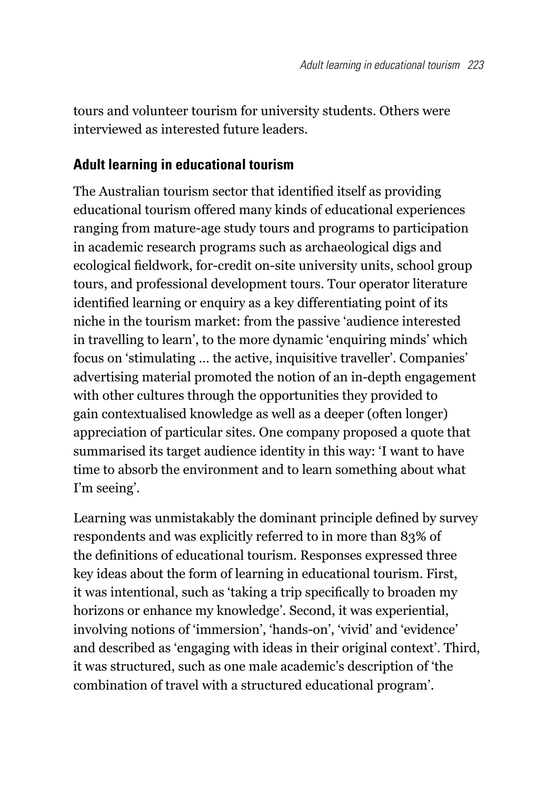tours and volunteer tourism for university students. Others were interviewed as interested future leaders.

## **Adult learning in educational tourism**

The Australian tourism sector that identified itself as providing educational tourism offered many kinds of educational experiences ranging from mature-age study tours and programs to participation in academic research programs such as archaeological digs and ecological fieldwork, for-credit on-site university units, school group tours, and professional development tours. Tour operator literature identified learning or enquiry as a key differentiating point of its niche in the tourism market: from the passive 'audience interested in travelling to learn', to the more dynamic 'enquiring minds' which focus on 'stimulating … the active, inquisitive traveller'. Companies' advertising material promoted the notion of an in-depth engagement with other cultures through the opportunities they provided to gain contextualised knowledge as well as a deeper (often longer) appreciation of particular sites. One company proposed a quote that summarised its target audience identity in this way: 'I want to have time to absorb the environment and to learn something about what I'm seeing'.

Learning was unmistakably the dominant principle defined by survey respondents and was explicitly referred to in more than 83% of the definitions of educational tourism. Responses expressed three key ideas about the form of learning in educational tourism. First, it was intentional, such as 'taking a trip specifically to broaden my horizons or enhance my knowledge'. Second, it was experiential, involving notions of 'immersion', 'hands-on', 'vivid' and 'evidence' and described as 'engaging with ideas in their original context'. Third, it was structured, such as one male academic's description of 'the combination of travel with a structured educational program'.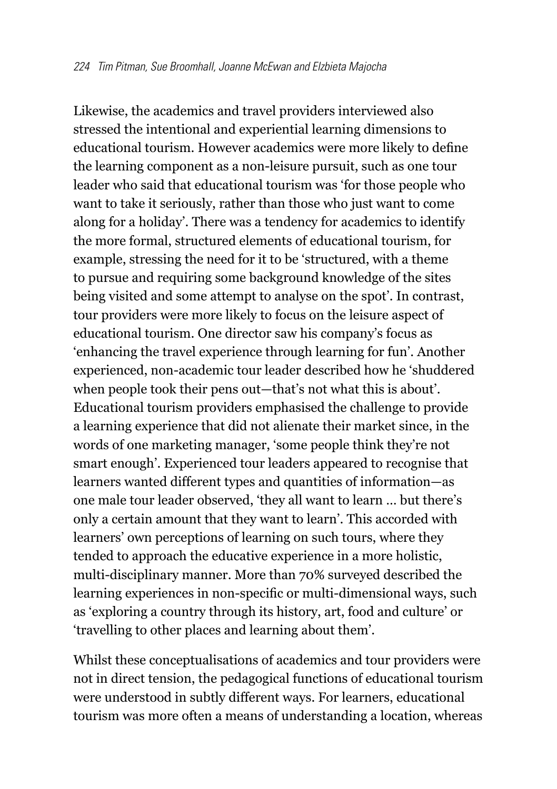Likewise, the academics and travel providers interviewed also stressed the intentional and experiential learning dimensions to educational tourism. However academics were more likely to define the learning component as a non-leisure pursuit, such as one tour leader who said that educational tourism was 'for those people who want to take it seriously, rather than those who just want to come along for a holiday'. There was a tendency for academics to identify the more formal, structured elements of educational tourism, for example, stressing the need for it to be 'structured, with a theme to pursue and requiring some background knowledge of the sites being visited and some attempt to analyse on the spot'. In contrast, tour providers were more likely to focus on the leisure aspect of educational tourism. One director saw his company's focus as 'enhancing the travel experience through learning for fun'. Another experienced, non-academic tour leader described how he 'shuddered when people took their pens out—that's not what this is about'. Educational tourism providers emphasised the challenge to provide a learning experience that did not alienate their market since, in the words of one marketing manager, 'some people think they're not smart enough'. Experienced tour leaders appeared to recognise that learners wanted different types and quantities of information—as one male tour leader observed, 'they all want to learn … but there's only a certain amount that they want to learn'. This accorded with learners' own perceptions of learning on such tours, where they tended to approach the educative experience in a more holistic, multi-disciplinary manner. More than 70% surveyed described the learning experiences in non-specific or multi-dimensional ways, such as 'exploring a country through its history, art, food and culture' or 'travelling to other places and learning about them'.

Whilst these conceptualisations of academics and tour providers were not in direct tension, the pedagogical functions of educational tourism were understood in subtly different ways. For learners, educational tourism was more often a means of understanding a location, whereas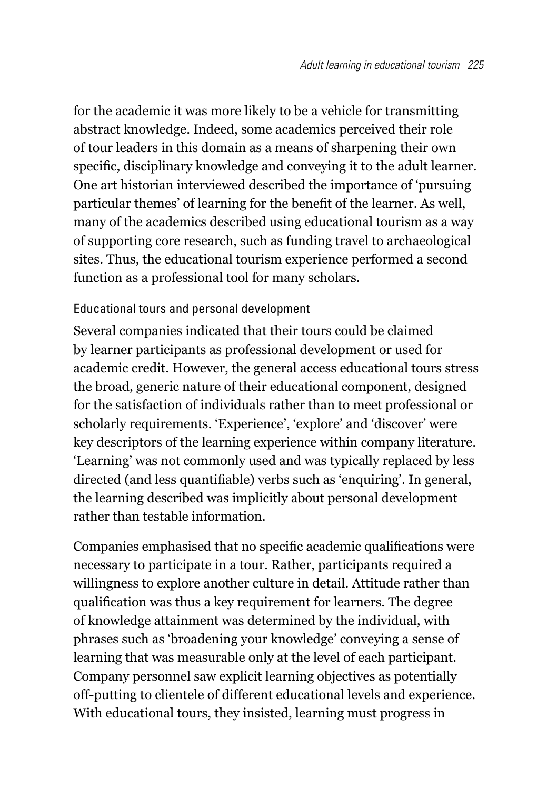for the academic it was more likely to be a vehicle for transmitting abstract knowledge. Indeed, some academics perceived their role of tour leaders in this domain as a means of sharpening their own specific, disciplinary knowledge and conveying it to the adult learner. One art historian interviewed described the importance of 'pursuing particular themes' of learning for the benefit of the learner. As well, many of the academics described using educational tourism as a way of supporting core research, such as funding travel to archaeological sites. Thus, the educational tourism experience performed a second function as a professional tool for many scholars.

#### Educational tours and personal development

Several companies indicated that their tours could be claimed by learner participants as professional development or used for academic credit. However, the general access educational tours stress the broad, generic nature of their educational component, designed for the satisfaction of individuals rather than to meet professional or scholarly requirements. 'Experience', 'explore' and 'discover' were key descriptors of the learning experience within company literature. 'Learning' was not commonly used and was typically replaced by less directed (and less quantifiable) verbs such as 'enquiring'. In general, the learning described was implicitly about personal development rather than testable information.

Companies emphasised that no specific academic qualifications were necessary to participate in a tour. Rather, participants required a willingness to explore another culture in detail. Attitude rather than qualification was thus a key requirement for learners. The degree of knowledge attainment was determined by the individual, with phrases such as 'broadening your knowledge' conveying a sense of learning that was measurable only at the level of each participant. Company personnel saw explicit learning objectives as potentially off-putting to clientele of different educational levels and experience. With educational tours, they insisted, learning must progress in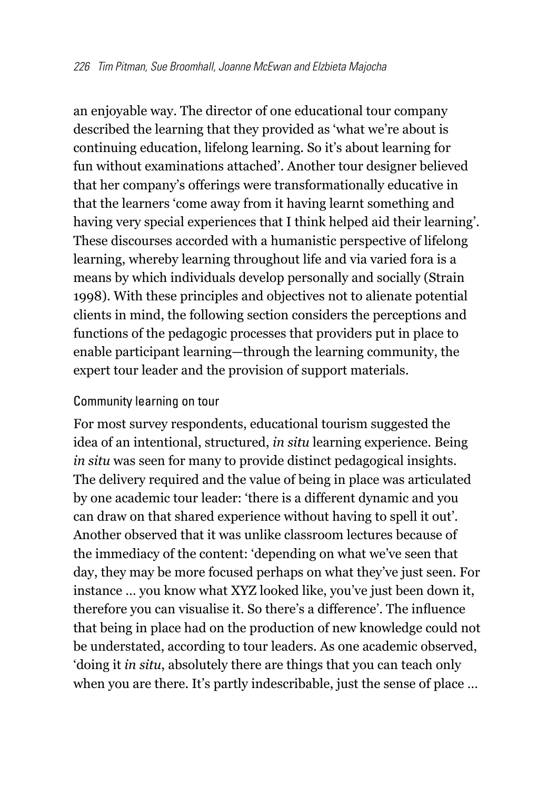an enjoyable way. The director of one educational tour company described the learning that they provided as 'what we're about is continuing education, lifelong learning. So it's about learning for fun without examinations attached'. Another tour designer believed that her company's offerings were transformationally educative in that the learners 'come away from it having learnt something and having very special experiences that I think helped aid their learning'. These discourses accorded with a humanistic perspective of lifelong learning, whereby learning throughout life and via varied fora is a means by which individuals develop personally and socially (Strain 1998). With these principles and objectives not to alienate potential clients in mind, the following section considers the perceptions and functions of the pedagogic processes that providers put in place to enable participant learning—through the learning community, the expert tour leader and the provision of support materials.

#### Community learning on tour

For most survey respondents, educational tourism suggested the idea of an intentional, structured, *in situ* learning experience. Being *in situ* was seen for many to provide distinct pedagogical insights. The delivery required and the value of being in place was articulated by one academic tour leader: 'there is a different dynamic and you can draw on that shared experience without having to spell it out'. Another observed that it was unlike classroom lectures because of the immediacy of the content: 'depending on what we've seen that day, they may be more focused perhaps on what they've just seen. For instance … you know what XYZ looked like, you've just been down it, therefore you can visualise it. So there's a difference'. The influence that being in place had on the production of new knowledge could not be understated, according to tour leaders. As one academic observed, 'doing it *in situ*, absolutely there are things that you can teach only when you are there. It's partly indescribable, just the sense of place …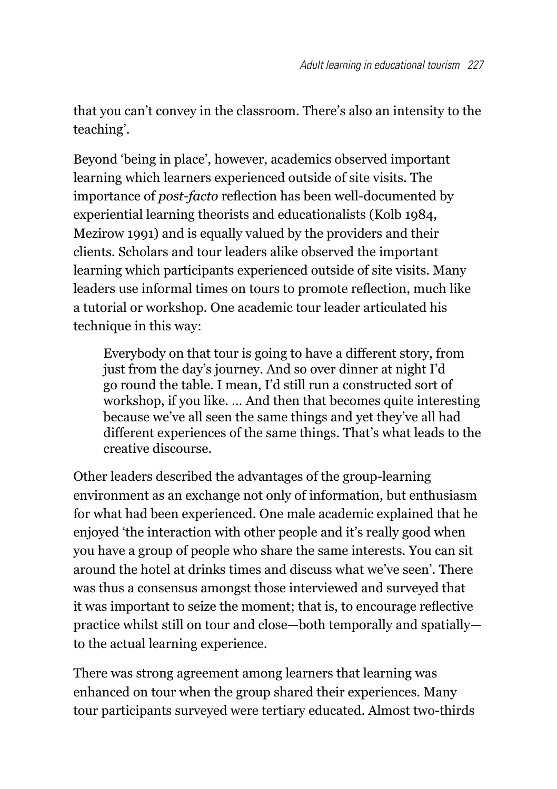that you can't convey in the classroom. There's also an intensity to the teaching'.

Beyond 'being in place', however, academics observed important learning which learners experienced outside of site visits. The importance of *post-facto* reflection has been well-documented by experiential learning theorists and educationalists (Kolb 1984, Mezirow 1991) and is equally valued by the providers and their clients. Scholars and tour leaders alike observed the important learning which participants experienced outside of site visits. Many leaders use informal times on tours to promote reflection, much like a tutorial or workshop. One academic tour leader articulated his technique in this way:

Everybody on that tour is going to have a different story, from just from the day's journey. And so over dinner at night I'd go round the table. I mean, I'd still run a constructed sort of workshop, if you like. … And then that becomes quite interesting because we've all seen the same things and yet they've all had different experiences of the same things. That's what leads to the creative discourse.

Other leaders described the advantages of the group-learning environment as an exchange not only of information, but enthusiasm for what had been experienced. One male academic explained that he enjoyed 'the interaction with other people and it's really good when you have a group of people who share the same interests. You can sit around the hotel at drinks times and discuss what we've seen'. There was thus a consensus amongst those interviewed and surveyed that it was important to seize the moment; that is, to encourage reflective practice whilst still on tour and close—both temporally and spatially to the actual learning experience.

There was strong agreement among learners that learning was enhanced on tour when the group shared their experiences. Many tour participants surveyed were tertiary educated. Almost two-thirds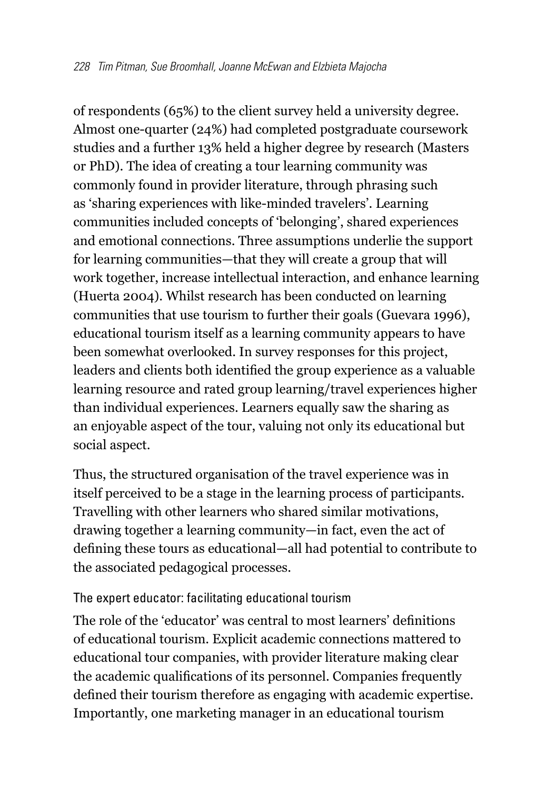of respondents (65%) to the client survey held a university degree. Almost one-quarter (24%) had completed postgraduate coursework studies and a further 13% held a higher degree by research (Masters or PhD). The idea of creating a tour learning community was commonly found in provider literature, through phrasing such as 'sharing experiences with like-minded travelers'. Learning communities included concepts of 'belonging', shared experiences and emotional connections. Three assumptions underlie the support for learning communities—that they will create a group that will work together, increase intellectual interaction, and enhance learning (Huerta 2004). Whilst research has been conducted on learning communities that use tourism to further their goals (Guevara 1996), educational tourism itself as a learning community appears to have been somewhat overlooked. In survey responses for this project, leaders and clients both identified the group experience as a valuable learning resource and rated group learning/travel experiences higher than individual experiences. Learners equally saw the sharing as an enjoyable aspect of the tour, valuing not only its educational but social aspect.

Thus, the structured organisation of the travel experience was in itself perceived to be a stage in the learning process of participants. Travelling with other learners who shared similar motivations, drawing together a learning community—in fact, even the act of defining these tours as educational—all had potential to contribute to the associated pedagogical processes.

#### The expert educator: facilitating educational tourism

The role of the 'educator' was central to most learners' definitions of educational tourism. Explicit academic connections mattered to educational tour companies, with provider literature making clear the academic qualifications of its personnel. Companies frequently defined their tourism therefore as engaging with academic expertise. Importantly, one marketing manager in an educational tourism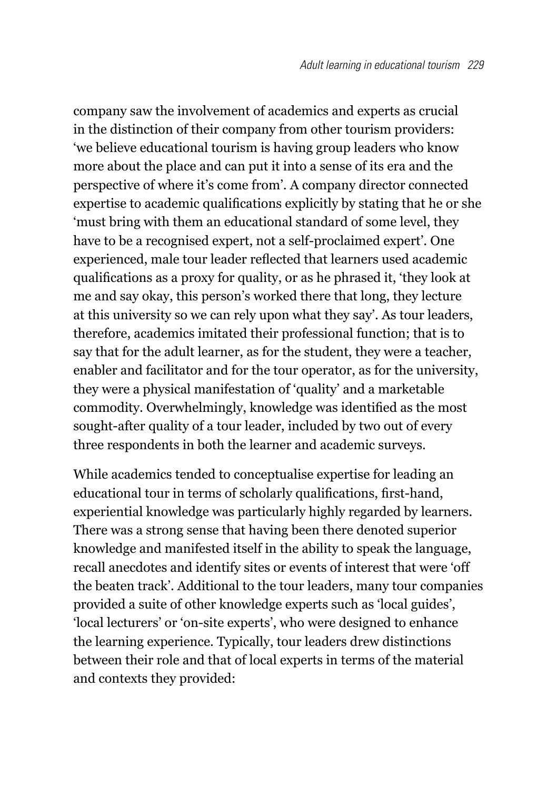company saw the involvement of academics and experts as crucial in the distinction of their company from other tourism providers: 'we believe educational tourism is having group leaders who know more about the place and can put it into a sense of its era and the perspective of where it's come from'. A company director connected expertise to academic qualifications explicitly by stating that he or she 'must bring with them an educational standard of some level, they have to be a recognised expert, not a self-proclaimed expert'. One experienced, male tour leader reflected that learners used academic qualifications as a proxy for quality, or as he phrased it, 'they look at me and say okay, this person's worked there that long, they lecture at this university so we can rely upon what they say'. As tour leaders, therefore, academics imitated their professional function; that is to say that for the adult learner, as for the student, they were a teacher, enabler and facilitator and for the tour operator, as for the university, they were a physical manifestation of 'quality' and a marketable commodity. Overwhelmingly, knowledge was identified as the most sought-after quality of a tour leader, included by two out of every three respondents in both the learner and academic surveys.

While academics tended to conceptualise expertise for leading an educational tour in terms of scholarly qualifications, first-hand, experiential knowledge was particularly highly regarded by learners. There was a strong sense that having been there denoted superior knowledge and manifested itself in the ability to speak the language, recall anecdotes and identify sites or events of interest that were 'off the beaten track'. Additional to the tour leaders, many tour companies provided a suite of other knowledge experts such as 'local guides', 'local lecturers' or 'on-site experts', who were designed to enhance the learning experience. Typically, tour leaders drew distinctions between their role and that of local experts in terms of the material and contexts they provided: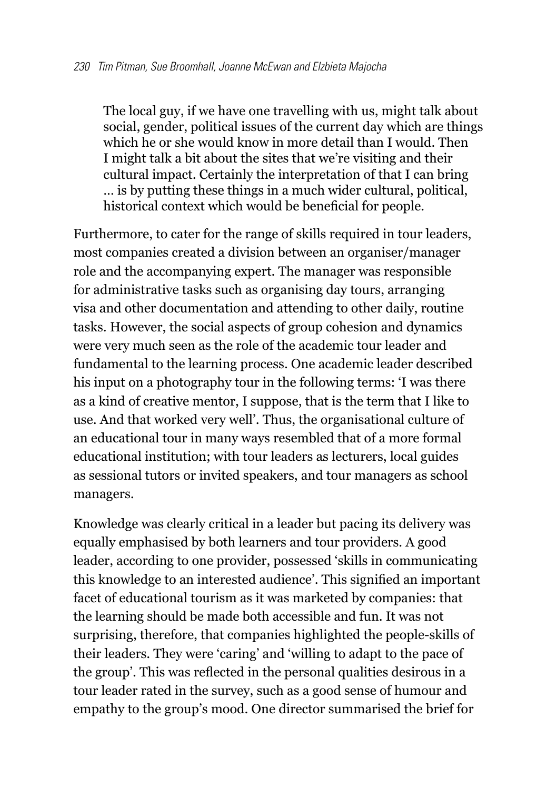The local guy, if we have one travelling with us, might talk about social, gender, political issues of the current day which are things which he or she would know in more detail than I would. Then I might talk a bit about the sites that we're visiting and their cultural impact. Certainly the interpretation of that I can bring … is by putting these things in a much wider cultural, political, historical context which would be beneficial for people.

Furthermore, to cater for the range of skills required in tour leaders, most companies created a division between an organiser/manager role and the accompanying expert. The manager was responsible for administrative tasks such as organising day tours, arranging visa and other documentation and attending to other daily, routine tasks. However, the social aspects of group cohesion and dynamics were very much seen as the role of the academic tour leader and fundamental to the learning process. One academic leader described his input on a photography tour in the following terms: 'I was there as a kind of creative mentor, I suppose, that is the term that I like to use. And that worked very well'. Thus, the organisational culture of an educational tour in many ways resembled that of a more formal educational institution; with tour leaders as lecturers, local guides as sessional tutors or invited speakers, and tour managers as school managers.

Knowledge was clearly critical in a leader but pacing its delivery was equally emphasised by both learners and tour providers. A good leader, according to one provider, possessed 'skills in communicating this knowledge to an interested audience'. This signified an important facet of educational tourism as it was marketed by companies: that the learning should be made both accessible and fun. It was not surprising, therefore, that companies highlighted the people-skills of their leaders. They were 'caring' and 'willing to adapt to the pace of the group'. This was reflected in the personal qualities desirous in a tour leader rated in the survey, such as a good sense of humour and empathy to the group's mood. One director summarised the brief for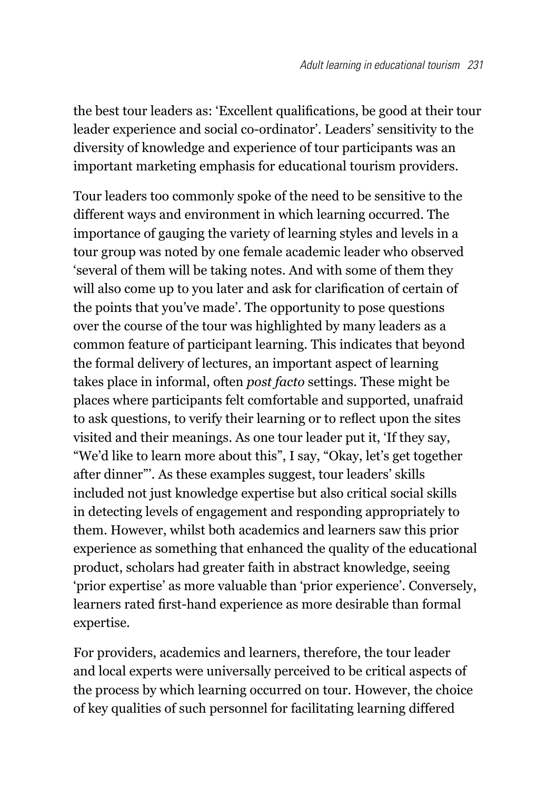the best tour leaders as: 'Excellent qualifications, be good at their tour leader experience and social co-ordinator'. Leaders' sensitivity to the diversity of knowledge and experience of tour participants was an important marketing emphasis for educational tourism providers.

Tour leaders too commonly spoke of the need to be sensitive to the different ways and environment in which learning occurred. The importance of gauging the variety of learning styles and levels in a tour group was noted by one female academic leader who observed 'several of them will be taking notes. And with some of them they will also come up to you later and ask for clarification of certain of the points that you've made'. The opportunity to pose questions over the course of the tour was highlighted by many leaders as a common feature of participant learning. This indicates that beyond the formal delivery of lectures, an important aspect of learning takes place in informal, often *post facto* settings. These might be places where participants felt comfortable and supported, unafraid to ask questions, to verify their learning or to reflect upon the sites visited and their meanings. As one tour leader put it, 'If they say, "We'd like to learn more about this", I say, "Okay, let's get together after dinner"'. As these examples suggest, tour leaders' skills included not just knowledge expertise but also critical social skills in detecting levels of engagement and responding appropriately to them. However, whilst both academics and learners saw this prior experience as something that enhanced the quality of the educational product, scholars had greater faith in abstract knowledge, seeing 'prior expertise' as more valuable than 'prior experience'. Conversely, learners rated first-hand experience as more desirable than formal expertise.

For providers, academics and learners, therefore, the tour leader and local experts were universally perceived to be critical aspects of the process by which learning occurred on tour. However, the choice of key qualities of such personnel for facilitating learning differed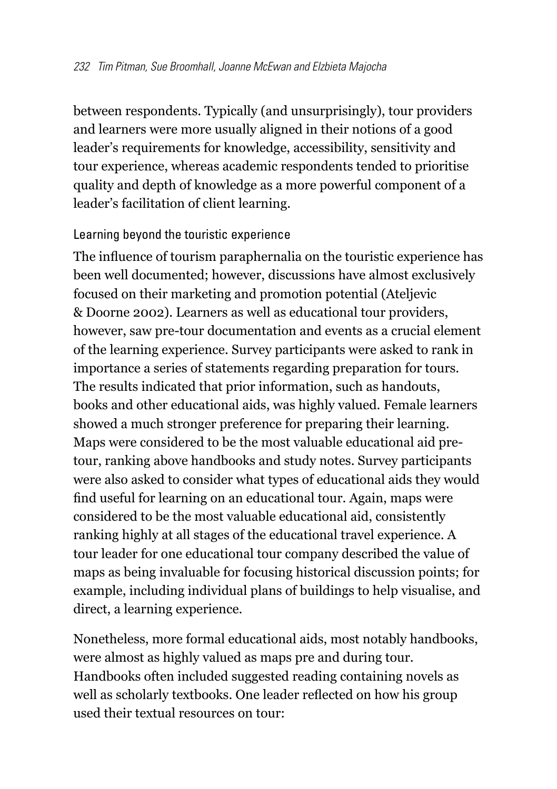between respondents. Typically (and unsurprisingly), tour providers and learners were more usually aligned in their notions of a good leader's requirements for knowledge, accessibility, sensitivity and tour experience, whereas academic respondents tended to prioritise quality and depth of knowledge as a more powerful component of a leader's facilitation of client learning.

#### Learning beyond the touristic experience

The influence of tourism paraphernalia on the touristic experience has been well documented; however, discussions have almost exclusively focused on their marketing and promotion potential (Ateljevic & Doorne 2002). Learners as well as educational tour providers, however, saw pre-tour documentation and events as a crucial element of the learning experience. Survey participants were asked to rank in importance a series of statements regarding preparation for tours. The results indicated that prior information, such as handouts, books and other educational aids, was highly valued. Female learners showed a much stronger preference for preparing their learning. Maps were considered to be the most valuable educational aid pretour, ranking above handbooks and study notes. Survey participants were also asked to consider what types of educational aids they would find useful for learning on an educational tour. Again, maps were considered to be the most valuable educational aid, consistently ranking highly at all stages of the educational travel experience. A tour leader for one educational tour company described the value of maps as being invaluable for focusing historical discussion points; for example, including individual plans of buildings to help visualise, and direct, a learning experience.

Nonetheless, more formal educational aids, most notably handbooks, were almost as highly valued as maps pre and during tour. Handbooks often included suggested reading containing novels as well as scholarly textbooks. One leader reflected on how his group used their textual resources on tour: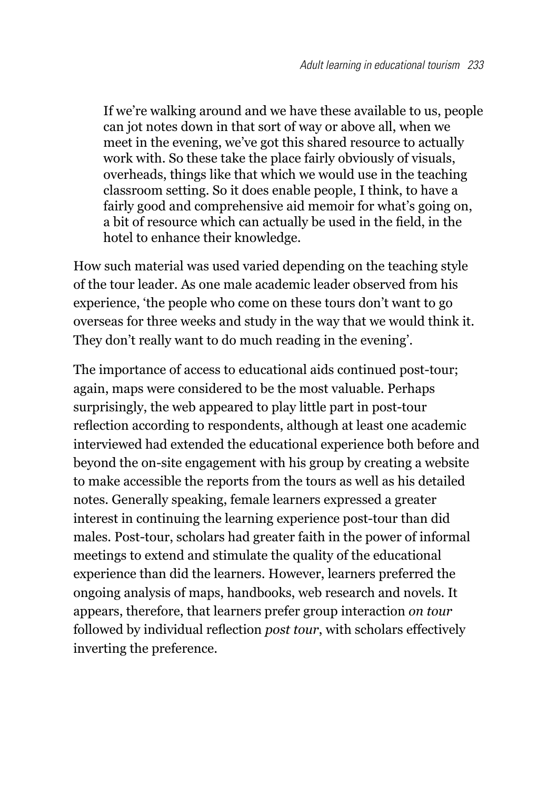If we're walking around and we have these available to us, people can jot notes down in that sort of way or above all, when we meet in the evening, we've got this shared resource to actually work with. So these take the place fairly obviously of visuals, overheads, things like that which we would use in the teaching classroom setting. So it does enable people, I think, to have a fairly good and comprehensive aid memoir for what's going on, a bit of resource which can actually be used in the field, in the hotel to enhance their knowledge.

How such material was used varied depending on the teaching style of the tour leader. As one male academic leader observed from his experience, 'the people who come on these tours don't want to go overseas for three weeks and study in the way that we would think it. They don't really want to do much reading in the evening'.

The importance of access to educational aids continued post-tour; again, maps were considered to be the most valuable. Perhaps surprisingly, the web appeared to play little part in post-tour reflection according to respondents, although at least one academic interviewed had extended the educational experience both before and beyond the on-site engagement with his group by creating a website to make accessible the reports from the tours as well as his detailed notes. Generally speaking, female learners expressed a greater interest in continuing the learning experience post-tour than did males. Post-tour, scholars had greater faith in the power of informal meetings to extend and stimulate the quality of the educational experience than did the learners. However, learners preferred the ongoing analysis of maps, handbooks, web research and novels. It appears, therefore, that learners prefer group interaction *on tour* followed by individual reflection *post tour*, with scholars effectively inverting the preference.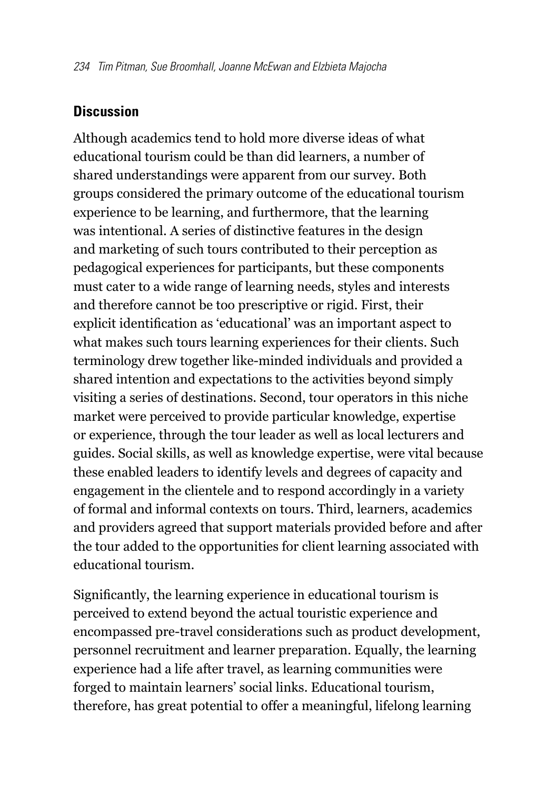#### **Discussion**

Although academics tend to hold more diverse ideas of what educational tourism could be than did learners, a number of shared understandings were apparent from our survey. Both groups considered the primary outcome of the educational tourism experience to be learning, and furthermore, that the learning was intentional. A series of distinctive features in the design and marketing of such tours contributed to their perception as pedagogical experiences for participants, but these components must cater to a wide range of learning needs, styles and interests and therefore cannot be too prescriptive or rigid. First, their explicit identification as 'educational' was an important aspect to what makes such tours learning experiences for their clients. Such terminology drew together like-minded individuals and provided a shared intention and expectations to the activities beyond simply visiting a series of destinations. Second, tour operators in this niche market were perceived to provide particular knowledge, expertise or experience, through the tour leader as well as local lecturers and guides. Social skills, as well as knowledge expertise, were vital because these enabled leaders to identify levels and degrees of capacity and engagement in the clientele and to respond accordingly in a variety of formal and informal contexts on tours. Third, learners, academics and providers agreed that support materials provided before and after the tour added to the opportunities for client learning associated with educational tourism.

Significantly, the learning experience in educational tourism is perceived to extend beyond the actual touristic experience and encompassed pre-travel considerations such as product development, personnel recruitment and learner preparation. Equally, the learning experience had a life after travel, as learning communities were forged to maintain learners' social links. Educational tourism, therefore, has great potential to offer a meaningful, lifelong learning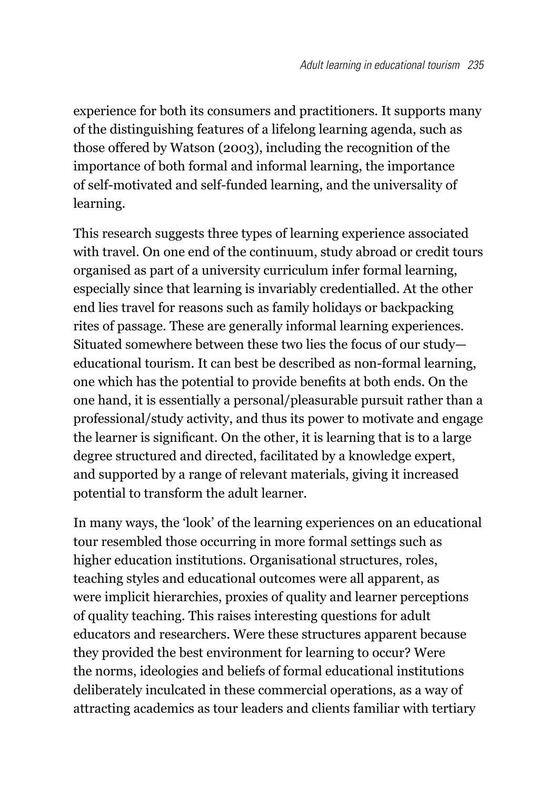experience for both its consumers and practitioners. It supports many of the distinguishing features of a lifelong learning agenda, such as those offered by Watson (2003), including the recognition of the importance of both formal and informal learning, the importance of self-motivated and self-funded learning, and the universality of learning.

This research suggests three types of learning experience associated with travel. On one end of the continuum, study abroad or credit tours organised as part of a university curriculum infer formal learning, especially since that learning is invariably credentialled. At the other end lies travel for reasons such as family holidays or backpacking rites of passage. These are generally informal learning experiences. Situated somewhere between these two lies the focus of our study educational tourism. It can best be described as non-formal learning, one which has the potential to provide benefits at both ends. On the one hand, it is essentially a personal/pleasurable pursuit rather than a professional/study activity, and thus its power to motivate and engage the learner is significant. On the other, it is learning that is to a large degree structured and directed, facilitated by a knowledge expert, and supported by a range of relevant materials, giving it increased potential to transform the adult learner.

In many ways, the 'look' of the learning experiences on an educational tour resembled those occurring in more formal settings such as higher education institutions. Organisational structures, roles, teaching styles and educational outcomes were all apparent, as were implicit hierarchies, proxies of quality and learner perceptions of quality teaching. This raises interesting questions for adult educators and researchers. Were these structures apparent because they provided the best environment for learning to occur? Were the norms, ideologies and beliefs of formal educational institutions deliberately inculcated in these commercial operations, as a way of attracting academics as tour leaders and clients familiar with tertiary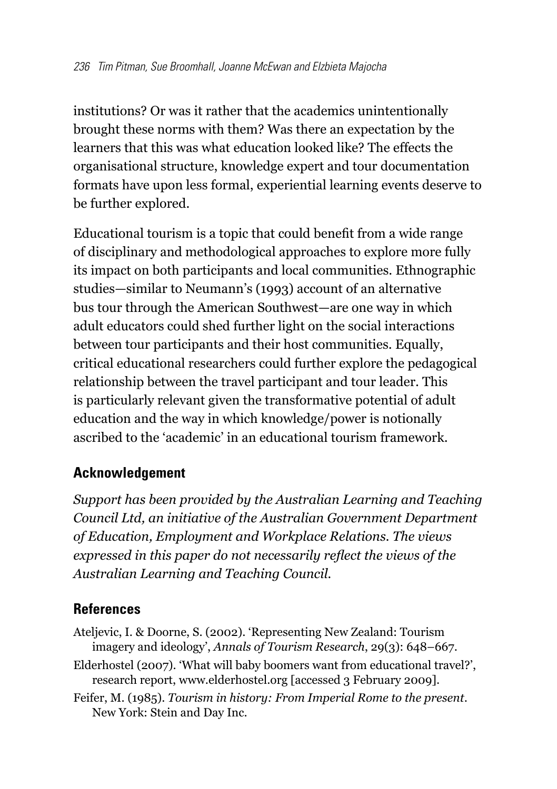institutions? Or was it rather that the academics unintentionally brought these norms with them? Was there an expectation by the learners that this was what education looked like? The effects the organisational structure, knowledge expert and tour documentation formats have upon less formal, experiential learning events deserve to be further explored.

Educational tourism is a topic that could benefit from a wide range of disciplinary and methodological approaches to explore more fully its impact on both participants and local communities. Ethnographic studies—similar to Neumann's (1993) account of an alternative bus tour through the American Southwest—are one way in which adult educators could shed further light on the social interactions between tour participants and their host communities. Equally, critical educational researchers could further explore the pedagogical relationship between the travel participant and tour leader. This is particularly relevant given the transformative potential of adult education and the way in which knowledge/power is notionally ascribed to the 'academic' in an educational tourism framework.

## **Acknowledgement**

*Support has been provided by the Australian Learning and Teaching Council Ltd, an initiative of the Australian Government Department of Education, Employment and Workplace Relations. The views expressed in this paper do not necessarily reflect the views of the Australian Learning and Teaching Council.*

## **References**

- Ateljevic, I. & Doorne, S. (2002). 'Representing New Zealand: Tourism imagery and ideology', *Annals of Tourism Research*, 29(3): 648–667.
- Elderhostel (2007). 'What will baby boomers want from educational travel?', research report, www.elderhostel.org [accessed 3 February 2009].
- Feifer, M. (1985). *Tourism in history: From Imperial Rome to the present*. New York: Stein and Day Inc.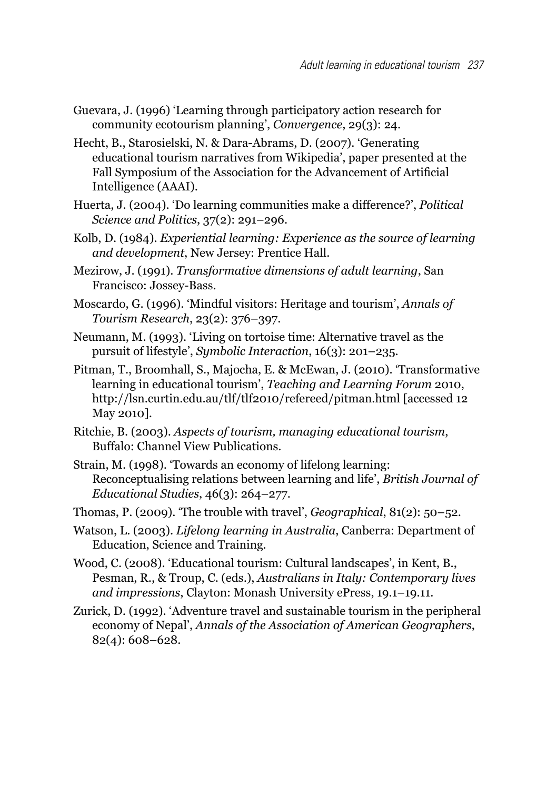- Guevara, J. (1996) 'Learning through participatory action research for community ecotourism planning', *Convergence*, 29(3): 24.
- Hecht, B., Starosielski, N. & Dara-Abrams, D. (2007). 'Generating educational tourism narratives from Wikipedia', paper presented at the Fall Symposium of the Association for the Advancement of Artificial Intelligence (AAAI).
- Huerta, J. (2004). 'Do learning communities make a difference?', *Political Science and Politics*, 37(2): 291–296.
- Kolb, D. (1984). *Experiential learning: Experience as the source of learning and development*, New Jersey: Prentice Hall.
- Mezirow, J. (1991). *Transformative dimensions of adult learning*, San Francisco: Jossey-Bass.
- Moscardo, G. (1996). 'Mindful visitors: Heritage and tourism', *Annals of Tourism Research*, 23(2): 376–397.
- Neumann, M. (1993). 'Living on tortoise time: Alternative travel as the pursuit of lifestyle', *Symbolic Interaction*, 16(3): 201–235.
- Pitman, T., Broomhall, S., Majocha, E. & McEwan, J. (2010). 'Transformative learning in educational tourism', *Teaching and Learning Forum* 2010, http://lsn.curtin.edu.au/tlf/tlf2010/refereed/pitman.html [accessed 12 May 2010].
- Ritchie, B. (2003). *Aspects of tourism, managing educational tourism*, Buffalo: Channel View Publications.
- Strain, M. (1998). 'Towards an economy of lifelong learning: Reconceptualising relations between learning and life', *British Journal of Educational Studies*, 46(3): 264–277.
- Thomas, P. (2009). 'The trouble with travel', *Geographical*, 81(2): 50–52.
- Watson, L. (2003). *Lifelong learning in Australia*, Canberra: Department of Education, Science and Training.
- Wood, C. (2008). 'Educational tourism: Cultural landscapes', in Kent, B., Pesman, R., & Troup, C. (eds.), *Australians in Italy: Contemporary lives and impressions*, Clayton: Monash University ePress, 19.1–19.11.
- Zurick, D. (1992). 'Adventure travel and sustainable tourism in the peripheral economy of Nepal', *Annals of the Association of American Geographers*, 82(4): 608–628.